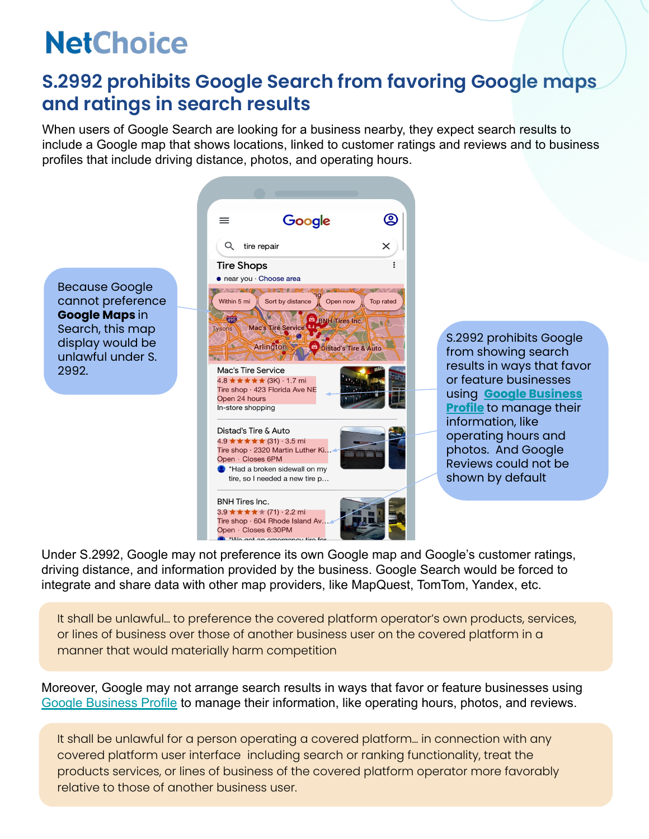### **S.2992 prohibits Google Search from favoring Google maps and ratings in search results**

When users of Google Search are looking for a business nearby, they expect search results to include a Google map that shows locations, linked to customer ratings and reviews and to business profiles that include driving distance, photos, and operating hours.



S.2992 prohibits Google from showing search results in ways that favor or feature businesses using **[Google Business](https://www.google.com/business/?ppsrc=GPDA2) [Profile](https://www.google.com/business/?ppsrc=GPDA2)** to manage their information, like operating hours and photos. And Google Reviews could not be shown by default

Under S.2992, Google may not preference its own Google map and Google's customer ratings, driving distance, and information provided by the business. Google Search would be forced to integrate and share data with other map providers, like MapQuest, TomTom, Yandex, etc.

It shall be unlawful… to preference the covered platform operator's own products, services, or lines of business over those of another business user on the covered platform in a manner that would materially harm competition

Moreover, Google may not arrange search results in ways that favor or feature businesses using [Google Business Profile](https://www.google.com/business/?ppsrc=GPDA2) to manage their information, like operating hours, photos, and reviews.

It shall be unlawful for a person operating a covered platform… in connection with any covered platform user interface including search or ranking functionality, treat the products services, or lines of business of the covered platform operator more favorably relative to those of another business user.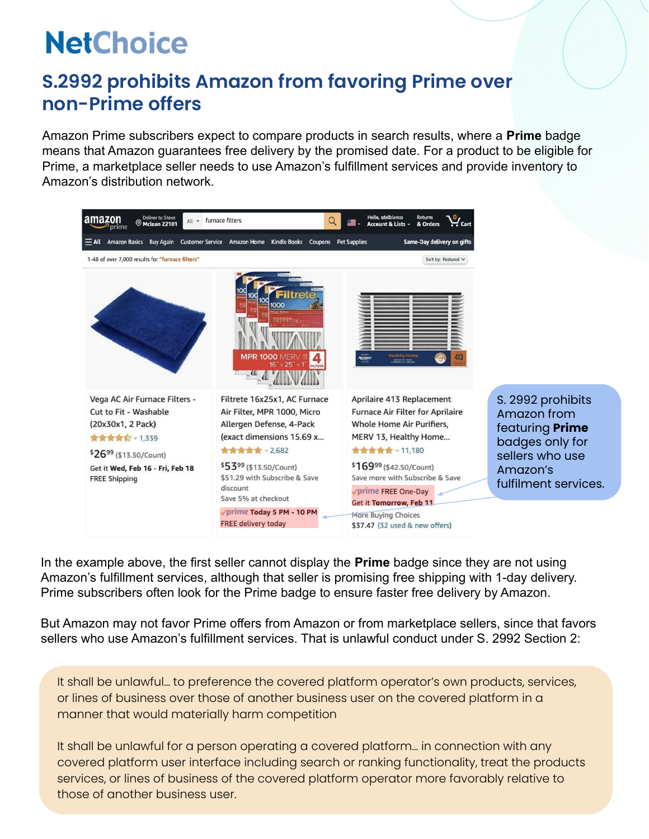### **S.2992 prohibits Amazon from favoring Prime over non-Prime offers**

Amazon Prime subscribers expect to compare products in search results, where a **Prime** badge means that Amazon guarantees free delivery by the promised date. For a product to be eligible for Prime, a marketplace seller needs to use Amazon's fulfillment services and provide inventory to Amazon's distribution network.



In the example above, the first seller cannot display the **Prime** badge since they are not using Amazon's fulfillment services, although that seller is promising free shipping with 1-day delivery. Prime subscribers often look for the Prime badge to ensure faster free delivery by Amazon.

But Amazon may not favor Prime offers from Amazon or from marketplace sellers, since that favors sellers who use Amazon's fulfillment services. That is unlawful conduct under S. 2992 Section 2:

It shall be unlawful… to preference the covered platform operator's own products, services, or lines of business over those of another business user on the covered platform in a manner that would materially harm competition

It shall be unlawful for a person operating a covered platform… in connection with any covered platform user interface including search or ranking functionality, treat the products services, or lines of business of the covered platform operator more favorably relative to those of another business user.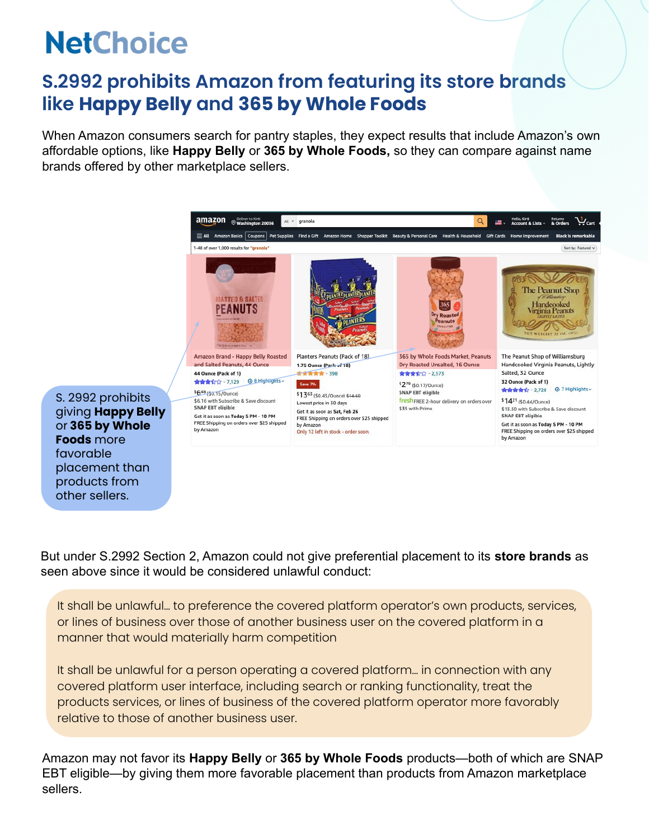### **S.2992 prohibits Amazon from featuring its store brands like Happy Belly and 365 by Whole Foods**

When Amazon consumers search for pantry staples, they expect results that include Amazon's own affordable options, like **Happy Belly** or **365 by Whole Foods,** so they can compare against name brands offered by other marketplace sellers.



S. 2992 prohibits giving **Happy Belly**  or **365 by Whole Foods** more favorable placement than products from other sellers.

But under S.2992 Section 2, Amazon could not give preferential placement to its **store brands** as seen above since it would be considered unlawful conduct:

It shall be unlawful… to preference the covered platform operator's own products, services, or lines of business over those of another business user on the covered platform in a manner that would materially harm competition

It shall be unlawful for a person operating a covered platform… in connection with any covered platform user interface, including search or ranking functionality, treat the products services, or lines of business of the covered platform operator more favorably relative to those of another business user.

Amazon may not favor its **Happy Belly** or **365 by Whole Foods** products—both of which are SNAP EBT eligible—by giving them more favorable placement than products from Amazon marketplace sellers.